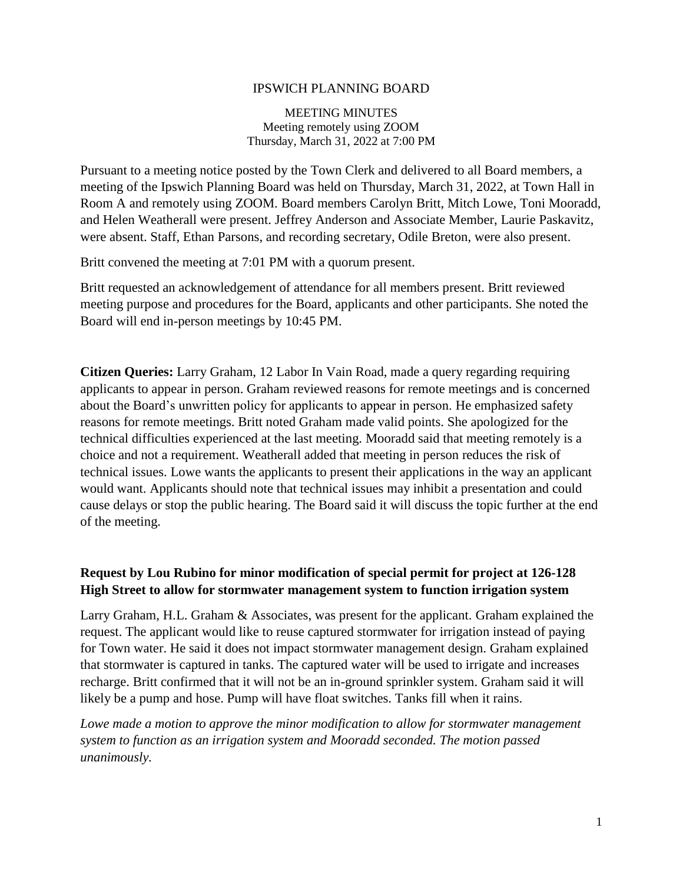### IPSWICH PLANNING BOARD

MEETING MINUTES Meeting remotely using ZOOM Thursday, March 31, 2022 at 7:00 PM

Pursuant to a meeting notice posted by the Town Clerk and delivered to all Board members, a meeting of the Ipswich Planning Board was held on Thursday, March 31, 2022, at Town Hall in Room A and remotely using ZOOM. Board members Carolyn Britt, Mitch Lowe, Toni Mooradd, and Helen Weatherall were present. Jeffrey Anderson and Associate Member, Laurie Paskavitz, were absent. Staff, Ethan Parsons, and recording secretary, Odile Breton, were also present.

Britt convened the meeting at 7:01 PM with a quorum present.

Britt requested an acknowledgement of attendance for all members present. Britt reviewed meeting purpose and procedures for the Board, applicants and other participants. She noted the Board will end in-person meetings by 10:45 PM.

**Citizen Queries:** Larry Graham, 12 Labor In Vain Road, made a query regarding requiring applicants to appear in person. Graham reviewed reasons for remote meetings and is concerned about the Board's unwritten policy for applicants to appear in person. He emphasized safety reasons for remote meetings. Britt noted Graham made valid points. She apologized for the technical difficulties experienced at the last meeting. Mooradd said that meeting remotely is a choice and not a requirement. Weatherall added that meeting in person reduces the risk of technical issues. Lowe wants the applicants to present their applications in the way an applicant would want. Applicants should note that technical issues may inhibit a presentation and could cause delays or stop the public hearing. The Board said it will discuss the topic further at the end of the meeting.

## **Request by Lou Rubino for minor modification of special permit for project at 126-128 High Street to allow for stormwater management system to function irrigation system**

Larry Graham, H.L. Graham & Associates, was present for the applicant. Graham explained the request. The applicant would like to reuse captured stormwater for irrigation instead of paying for Town water. He said it does not impact stormwater management design. Graham explained that stormwater is captured in tanks. The captured water will be used to irrigate and increases recharge. Britt confirmed that it will not be an in-ground sprinkler system. Graham said it will likely be a pump and hose. Pump will have float switches. Tanks fill when it rains.

Lowe made a motion to approve the minor modification to allow for stormwater management *system to function as an irrigation system and Mooradd seconded. The motion passed unanimously.*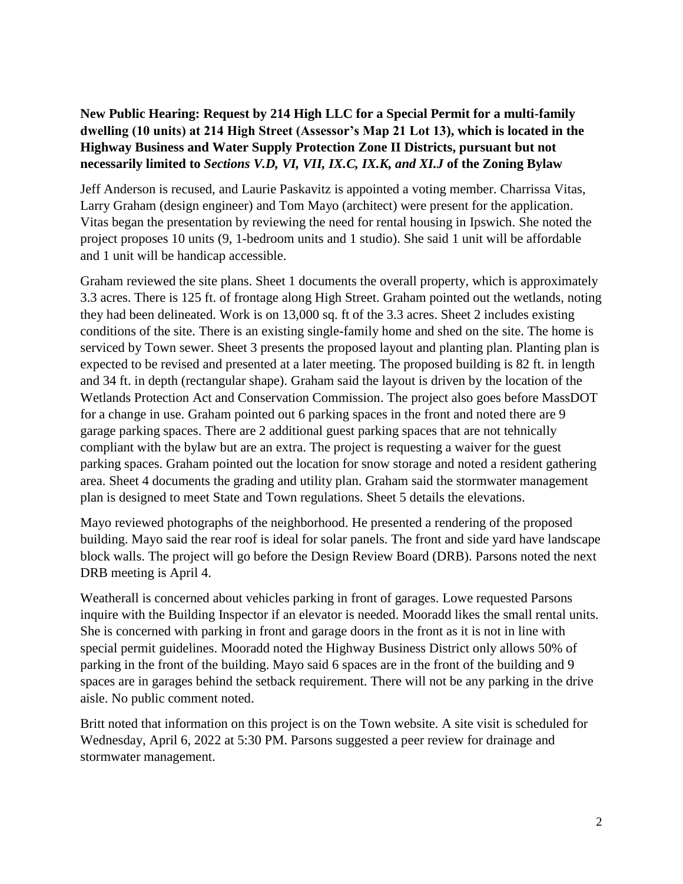# **New Public Hearing: Request by 214 High LLC for a Special Permit for a multi-family dwelling (10 units) at 214 High Street (Assessor's Map 21 Lot 13), which is located in the Highway Business and Water Supply Protection Zone II Districts, pursuant but not necessarily limited to** *Sections V.D, VI, VII, IX.C, IX.K, and XI.J* **of the Zoning Bylaw**

Jeff Anderson is recused, and Laurie Paskavitz is appointed a voting member. Charrissa Vitas, Larry Graham (design engineer) and Tom Mayo (architect) were present for the application. Vitas began the presentation by reviewing the need for rental housing in Ipswich. She noted the project proposes 10 units (9, 1-bedroom units and 1 studio). She said 1 unit will be affordable and 1 unit will be handicap accessible.

Graham reviewed the site plans. Sheet 1 documents the overall property, which is approximately 3.3 acres. There is 125 ft. of frontage along High Street. Graham pointed out the wetlands, noting they had been delineated. Work is on 13,000 sq. ft of the 3.3 acres. Sheet 2 includes existing conditions of the site. There is an existing single-family home and shed on the site. The home is serviced by Town sewer. Sheet 3 presents the proposed layout and planting plan. Planting plan is expected to be revised and presented at a later meeting. The proposed building is 82 ft. in length and 34 ft. in depth (rectangular shape). Graham said the layout is driven by the location of the Wetlands Protection Act and Conservation Commission. The project also goes before MassDOT for a change in use. Graham pointed out 6 parking spaces in the front and noted there are 9 garage parking spaces. There are 2 additional guest parking spaces that are not tehnically compliant with the bylaw but are an extra. The project is requesting a waiver for the guest parking spaces. Graham pointed out the location for snow storage and noted a resident gathering area. Sheet 4 documents the grading and utility plan. Graham said the stormwater management plan is designed to meet State and Town regulations. Sheet 5 details the elevations.

Mayo reviewed photographs of the neighborhood. He presented a rendering of the proposed building. Mayo said the rear roof is ideal for solar panels. The front and side yard have landscape block walls. The project will go before the Design Review Board (DRB). Parsons noted the next DRB meeting is April 4.

Weatherall is concerned about vehicles parking in front of garages. Lowe requested Parsons inquire with the Building Inspector if an elevator is needed. Mooradd likes the small rental units. She is concerned with parking in front and garage doors in the front as it is not in line with special permit guidelines. Mooradd noted the Highway Business District only allows 50% of parking in the front of the building. Mayo said 6 spaces are in the front of the building and 9 spaces are in garages behind the setback requirement. There will not be any parking in the drive aisle. No public comment noted.

Britt noted that information on this project is on the Town website. A site visit is scheduled for Wednesday, April 6, 2022 at 5:30 PM. Parsons suggested a peer review for drainage and stormwater management.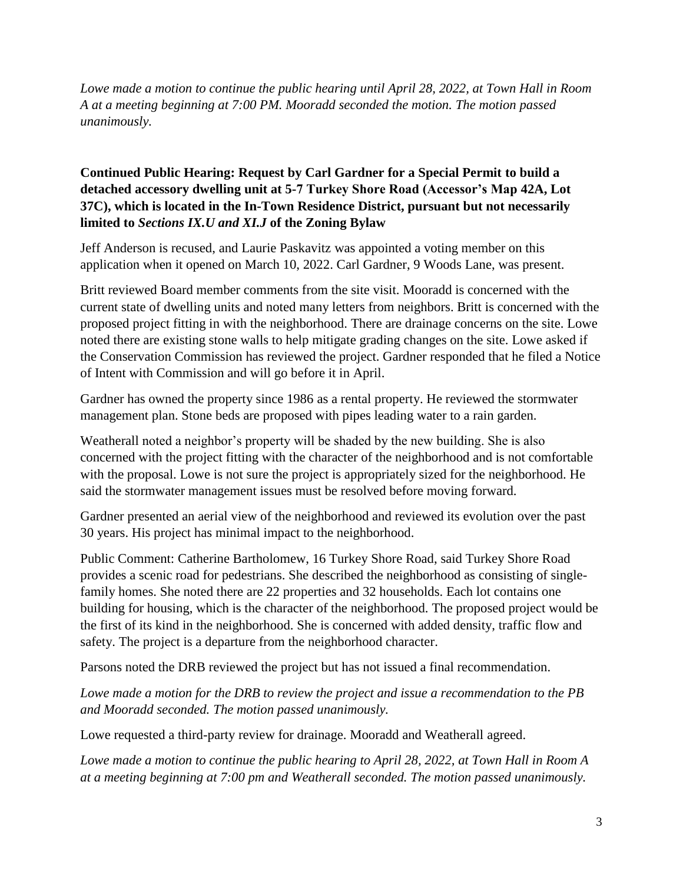*Lowe made a motion to continue the public hearing until April 28, 2022, at Town Hall in Room A at a meeting beginning at 7:00 PM. Mooradd seconded the motion. The motion passed unanimously.*

## **Continued Public Hearing: Request by Carl Gardner for a Special Permit to build a detached accessory dwelling unit at 5-7 Turkey Shore Road (Accessor's Map 42A, Lot 37C), which is located in the In-Town Residence District, pursuant but not necessarily limited to** *Sections IX.U and XI.J* **of the Zoning Bylaw**

Jeff Anderson is recused, and Laurie Paskavitz was appointed a voting member on this application when it opened on March 10, 2022. Carl Gardner, 9 Woods Lane, was present.

Britt reviewed Board member comments from the site visit. Mooradd is concerned with the current state of dwelling units and noted many letters from neighbors. Britt is concerned with the proposed project fitting in with the neighborhood. There are drainage concerns on the site. Lowe noted there are existing stone walls to help mitigate grading changes on the site. Lowe asked if the Conservation Commission has reviewed the project. Gardner responded that he filed a Notice of Intent with Commission and will go before it in April.

Gardner has owned the property since 1986 as a rental property. He reviewed the stormwater management plan. Stone beds are proposed with pipes leading water to a rain garden.

Weatherall noted a neighbor's property will be shaded by the new building. She is also concerned with the project fitting with the character of the neighborhood and is not comfortable with the proposal. Lowe is not sure the project is appropriately sized for the neighborhood. He said the stormwater management issues must be resolved before moving forward.

Gardner presented an aerial view of the neighborhood and reviewed its evolution over the past 30 years. His project has minimal impact to the neighborhood.

Public Comment: Catherine Bartholomew, 16 Turkey Shore Road, said Turkey Shore Road provides a scenic road for pedestrians. She described the neighborhood as consisting of singlefamily homes. She noted there are 22 properties and 32 households. Each lot contains one building for housing, which is the character of the neighborhood. The proposed project would be the first of its kind in the neighborhood. She is concerned with added density, traffic flow and safety. The project is a departure from the neighborhood character.

Parsons noted the DRB reviewed the project but has not issued a final recommendation.

*Lowe made a motion for the DRB to review the project and issue a recommendation to the PB and Mooradd seconded. The motion passed unanimously.*

Lowe requested a third-party review for drainage. Mooradd and Weatherall agreed.

*Lowe made a motion to continue the public hearing to April 28, 2022, at Town Hall in Room A at a meeting beginning at 7:00 pm and Weatherall seconded. The motion passed unanimously.*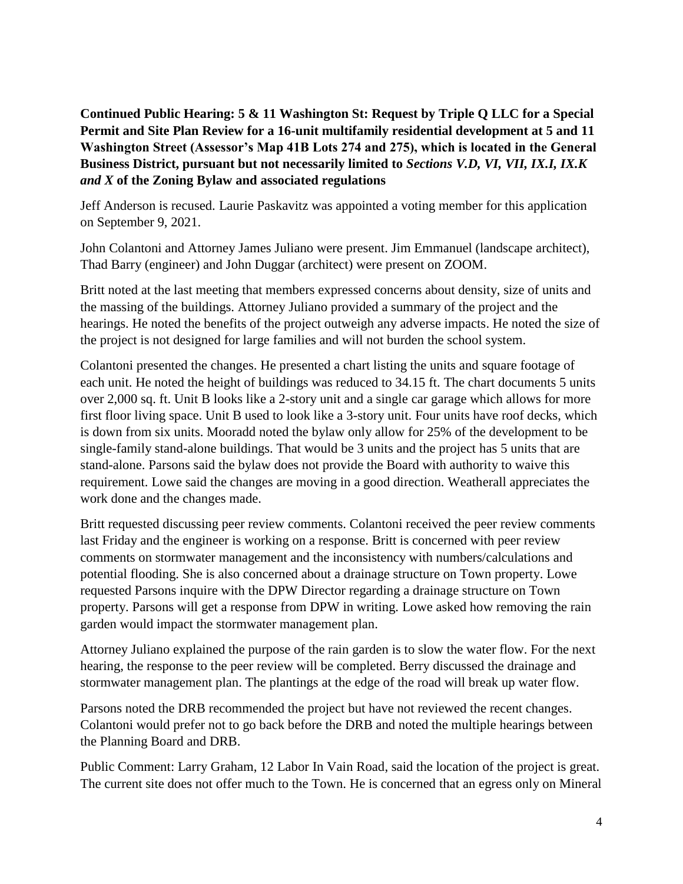**Continued Public Hearing: 5 & 11 Washington St: Request by Triple Q LLC for a Special Permit and Site Plan Review for a 16-unit multifamily residential development at 5 and 11 Washington Street (Assessor's Map 41B Lots 274 and 275), which is located in the General Business District, pursuant but not necessarily limited to** *Sections V.D, VI, VII, IX.I, IX.K and X* **of the Zoning Bylaw and associated regulations**

Jeff Anderson is recused. Laurie Paskavitz was appointed a voting member for this application on September 9, 2021.

John Colantoni and Attorney James Juliano were present. Jim Emmanuel (landscape architect), Thad Barry (engineer) and John Duggar (architect) were present on ZOOM.

Britt noted at the last meeting that members expressed concerns about density, size of units and the massing of the buildings. Attorney Juliano provided a summary of the project and the hearings. He noted the benefits of the project outweigh any adverse impacts. He noted the size of the project is not designed for large families and will not burden the school system.

Colantoni presented the changes. He presented a chart listing the units and square footage of each unit. He noted the height of buildings was reduced to 34.15 ft. The chart documents 5 units over 2,000 sq. ft. Unit B looks like a 2-story unit and a single car garage which allows for more first floor living space. Unit B used to look like a 3-story unit. Four units have roof decks, which is down from six units. Mooradd noted the bylaw only allow for 25% of the development to be single-family stand-alone buildings. That would be 3 units and the project has 5 units that are stand-alone. Parsons said the bylaw does not provide the Board with authority to waive this requirement. Lowe said the changes are moving in a good direction. Weatherall appreciates the work done and the changes made.

Britt requested discussing peer review comments. Colantoni received the peer review comments last Friday and the engineer is working on a response. Britt is concerned with peer review comments on stormwater management and the inconsistency with numbers/calculations and potential flooding. She is also concerned about a drainage structure on Town property. Lowe requested Parsons inquire with the DPW Director regarding a drainage structure on Town property. Parsons will get a response from DPW in writing. Lowe asked how removing the rain garden would impact the stormwater management plan.

Attorney Juliano explained the purpose of the rain garden is to slow the water flow. For the next hearing, the response to the peer review will be completed. Berry discussed the drainage and stormwater management plan. The plantings at the edge of the road will break up water flow.

Parsons noted the DRB recommended the project but have not reviewed the recent changes. Colantoni would prefer not to go back before the DRB and noted the multiple hearings between the Planning Board and DRB.

Public Comment: Larry Graham, 12 Labor In Vain Road, said the location of the project is great. The current site does not offer much to the Town. He is concerned that an egress only on Mineral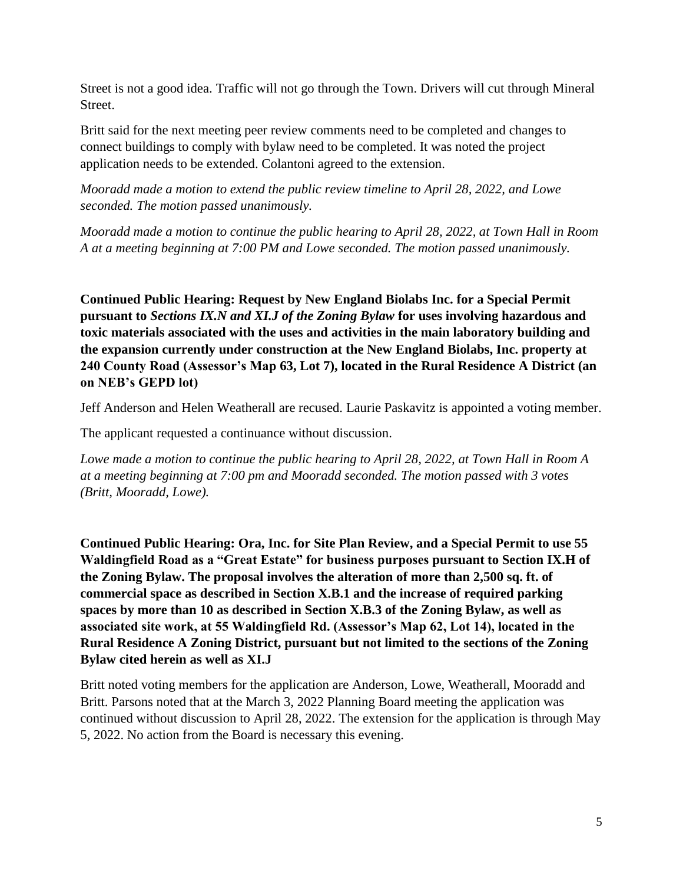Street is not a good idea. Traffic will not go through the Town. Drivers will cut through Mineral Street.

Britt said for the next meeting peer review comments need to be completed and changes to connect buildings to comply with bylaw need to be completed. It was noted the project application needs to be extended. Colantoni agreed to the extension.

*Mooradd made a motion to extend the public review timeline to April 28, 2022, and Lowe seconded. The motion passed unanimously.*

*Mooradd made a motion to continue the public hearing to April 28, 2022, at Town Hall in Room A at a meeting beginning at 7:00 PM and Lowe seconded. The motion passed unanimously.*

**Continued Public Hearing: Request by New England Biolabs Inc. for a Special Permit pursuant to** *Sections IX.N and XI.J of the Zoning Bylaw* **for uses involving hazardous and toxic materials associated with the uses and activities in the main laboratory building and the expansion currently under construction at the New England Biolabs, Inc. property at 240 County Road (Assessor's Map 63, Lot 7), located in the Rural Residence A District (an on NEB's GEPD lot)**

Jeff Anderson and Helen Weatherall are recused. Laurie Paskavitz is appointed a voting member.

The applicant requested a continuance without discussion.

*Lowe made a motion to continue the public hearing to April 28, 2022, at Town Hall in Room A at a meeting beginning at 7:00 pm and Mooradd seconded. The motion passed with 3 votes (Britt, Mooradd, Lowe).*

**Continued Public Hearing: Ora, Inc. for Site Plan Review, and a Special Permit to use 55 Waldingfield Road as a "Great Estate" for business purposes pursuant to Section IX.H of the Zoning Bylaw. The proposal involves the alteration of more than 2,500 sq. ft. of commercial space as described in Section X.B.1 and the increase of required parking spaces by more than 10 as described in Section X.B.3 of the Zoning Bylaw, as well as associated site work, at 55 Waldingfield Rd. (Assessor's Map 62, Lot 14), located in the Rural Residence A Zoning District, pursuant but not limited to the sections of the Zoning Bylaw cited herein as well as XI.J**

Britt noted voting members for the application are Anderson, Lowe, Weatherall, Mooradd and Britt. Parsons noted that at the March 3, 2022 Planning Board meeting the application was continued without discussion to April 28, 2022. The extension for the application is through May 5, 2022. No action from the Board is necessary this evening.